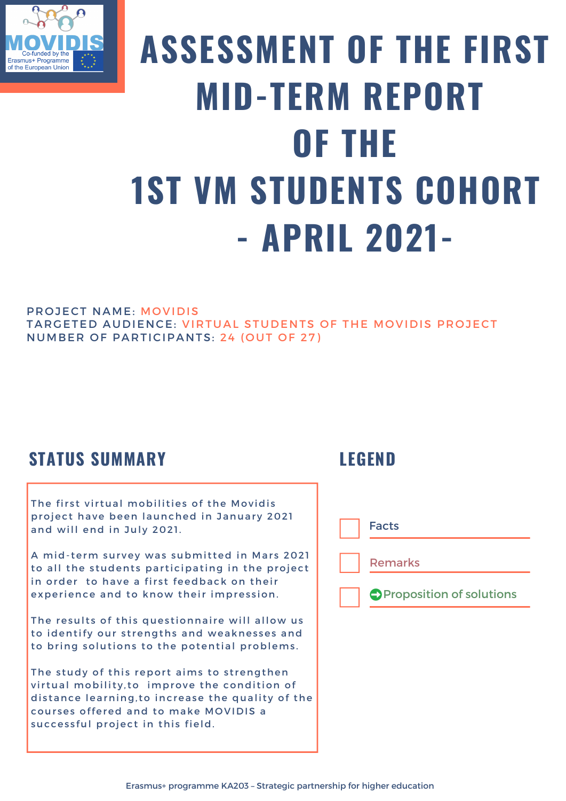

# **ASSESSMENT OF THE FIRST MID-TERM REPORT OF THE 1ST VM STUDENTS COHORT - APRIL 2021-**

#### PROJECT NAME: MOVIDIS

TARGETED AUDIENCE: VIRTUAL STUDENTS OF THE MOVIDIS PROJECT NUMBER OF PARTICIPANTS: 24 (OUT OF 27)

### **STATUS SUMMARY**

The first virtual mobilities of the Movidis project have been launched in January 2021 and will end in July 2021.

A mid-term survey was submitted in Mars 2021 to all the students participating in the project in order to have a first feedback on their experience and to know their impression.

The results of this questionnaire will allow us to identify our strengths and weaknesses and to bring solutions to the potential problems.

The study of this report aims to strengthen virtual mobility, to improve the condition of distance learning, to increase the quality of the courses offered and to make MOVIDIS a successful project in this field.

### **LEGEND**

Facts

Remarks

**OProposition of solutions**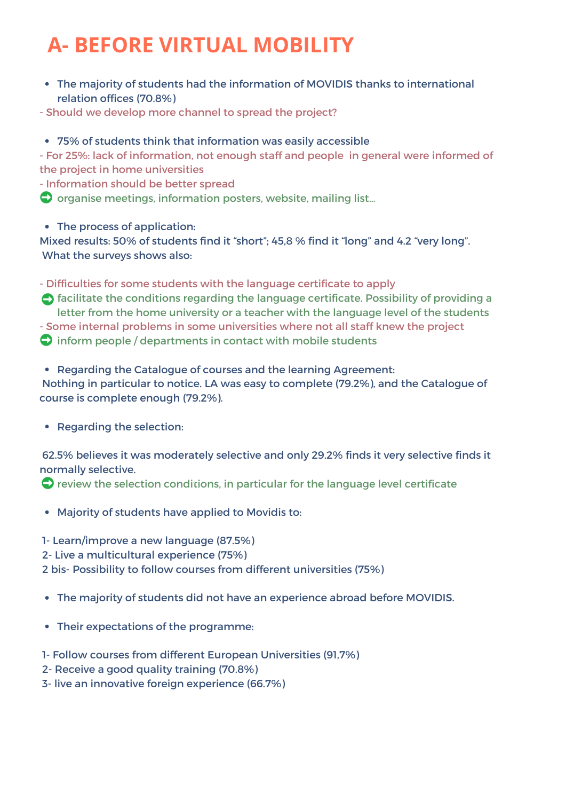# **A- BEFORE VIRTUAL MOBILITY**

The majority of students had the information of MOVIDIS thanks to international relation offices (70.8%)

- Should we develop more channel to spread the project?

#### 75% of students think that information was easily accessible

- For 25%: lack of information, not enough staff and people in general were informed of the project in home universities

- Information should be better spread

 $\bigcirc$  organise meetings, information posters, website, mailing list...

• The process of application:

Mixed results: 50% of students find it "short"; 45,8 % find it "long" and 4.2 "very long". What the surveys shows also:

- Difficulties for some students with the language certificate to apply

**h** facilitate the conditions regarding the language certificate. Possibility of providing a letter from the home university or a teacher with the language level of the students - Some internal problems in some universities where not all staff knew the project  $\bigcirc$  inform people / departments in contact with mobile students

• Regarding the Catalogue of courses and the learning Agreement:

Nothing in particular to notice. LA was easy to complete (79.2%), and the Catalogue of course is complete enough (79.2%).

• Regarding the selection:

62.5% believes it was moderately selective and only 29.2% finds it very selective finds it normally selective.

 $\bullet$  review the selection conditions, in particular for the language level certificate

- Majority of students have applied to Movidis to:
- 1- Learn/improve a new language (87.5%)
- 2- Live a multicultural experience (75%)

2 bis- Possibility to follow courses from different universities (75%)

- The majority of students did not have an experience abroad before MOVIDIS.
- Their expectations of the programme:
- 1- Follow courses from different European Universities (91,7%)
- 2- Receive a good quality training (70.8%)
- 3- live an innovative foreign experience (66.7%)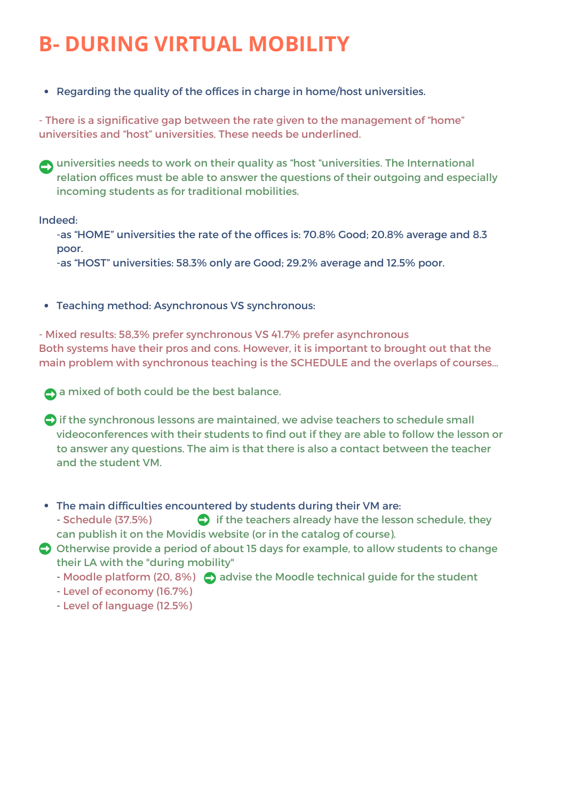### **B- DURING VIRTUAL MOBILITY**

• Regarding the quality of the offices in charge in home/host universities.

- There is a significative gap between the rate given to the management of "home" universities and "host" universities. These needs be underlined.

universities needs to work on their quality as "host "universities. The International relation offices must be able to answer the questions of their outgoing and especially incoming students as for traditional mobilities.

Indeed:

-as "HOME" universities the rate of the offices is: 70.8% Good; 20.8% average and 8.3 poor.

-as "HOST" universities: 58.3% only are Good; 29.2% average and 12.5% poor.

Teaching method: Asynchronous VS synchronous:

- Mixed results: 58,3% prefer synchronous VS 41.7% prefer asynchronous Both systems have their pros and cons. However, it is important to brought out that the main problem with synchronous teaching is the SCHEDULE and the overlaps of courses…

**A** a mixed of both could be the best balance.

- $\bigcirc$  if the synchronous lessons are maintained, we advise teachers to schedule small videoconferences with their students to find out if they are able to follow the lesson or to answer any questions. The aim is that there is also a contact between the teacher and the student VM.
- The main difficulties encountered by students during their VM are:
	- Schedule (37.5%)  $\bullet$  if the teachers already have the lesson schedule, they can publish it on the Movidis website (or in the catalog of course).
- Otherwise provide a period of about 15 days for example, to allow students to change their LA with the "during mobility"
	- Moodle platform (20, 8%)  $\bigcirc$  advise the Moodle technical guide for the student

- Level of economy (16.7%)

- Level of language (12.5%)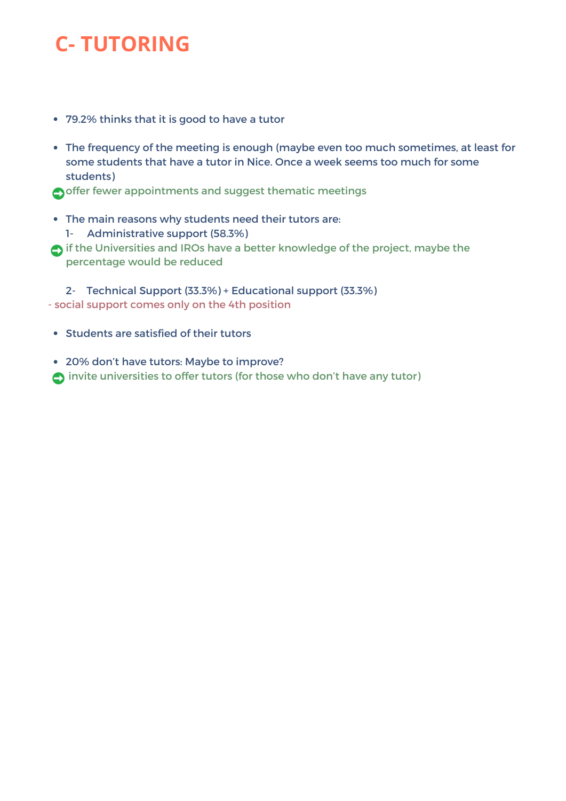## **C- TUTORING**

- 79.2% thinks that it is good to have a tutor
- The frequency of the meeting is enough (maybe even too much sometimes, at least for some students that have a tutor in Nice. Once a week seems too much for some students)

offer fewer appointments and suggest thematic meetings

- The main reasons why students need their tutors are: 1- Administrative support (58.3%)
- if the Universities and IROs have a better knowledge of the project, maybe the percentage would be reduced

2- Technical Support (33.3%) + Educational support (33.3%) - social support comes only on the 4th position

- Students are satisfied of their tutors
- 20% don't have tutors: Maybe to improve? invite universities to offer tutors (for those who don't have any tutor)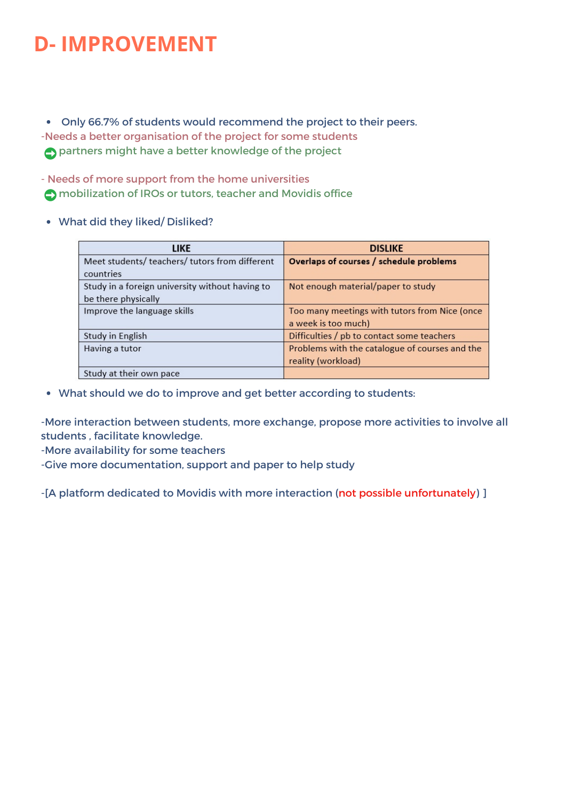### **D- IMPROVEMENT**

Only 66.7% of students would recommend the project to their peers. -Needs a better organisation of the project for some students partners might have a better knowledge of the project

- Needs of more support from the home universities mobilization of IROs or tutors, teacher and Movidis office

#### What did they liked/ Disliked?

| <b>LIKE</b>                                     | <b>DISLIKE</b>                                 |
|-------------------------------------------------|------------------------------------------------|
| Meet students/ teachers/ tutors from different  | Overlaps of courses / schedule problems        |
| countries                                       |                                                |
| Study in a foreign university without having to | Not enough material/paper to study             |
| be there physically                             |                                                |
| Improve the language skills                     | Too many meetings with tutors from Nice (once  |
|                                                 | a week is too much)                            |
| Study in English                                | Difficulties / pb to contact some teachers     |
| Having a tutor                                  | Problems with the catalogue of courses and the |
|                                                 | reality (workload)                             |
| Study at their own pace                         |                                                |

What should we do to improve and get better according to students:

-More interaction between students, more exchange, propose more activities to involve all students , facilitate knowledge.

- -More availability for some teachers
- -Give more documentation, support and paper to help study

-[A platform dedicated to Movidis with more interaction (not possible unfortunately) ]